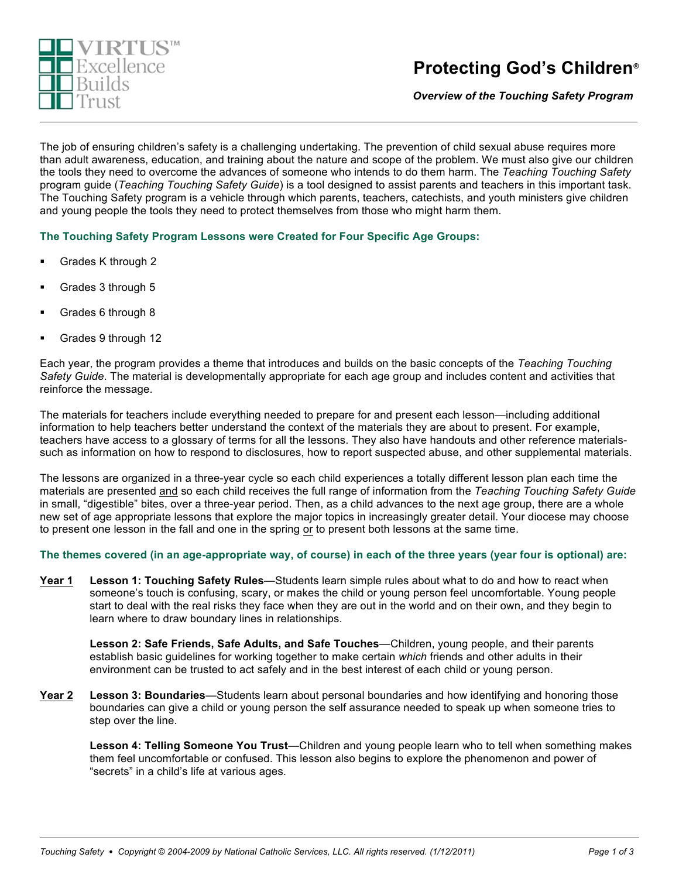

*Overview of the Touching Safety Program***®**

The job of ensuring children's safety is a challenging undertaking. The prevention of child sexual abuse requires more than adult awareness, education, and training about the nature and scope of the problem. We must also give our children the tools they need to overcome the advances of someone who intends to do them harm. The *Teaching Touching Safety* program guide (*Teaching Touching Safety Guide*) is a tool designed to assist parents and teachers in this important task. The Touching Safety program is a vehicle through which parents, teachers, catechists, and youth ministers give children and young people the tools they need to protect themselves from those who might harm them.

**The Touching Safety Program Lessons were Created for Four Specific Age Groups:**

- ! Grades K through 2
- Grades 3 through 5
- ! Grades 6 through 8
- ! Grades 9 through 12

Each year, the program provides a theme that introduces and builds on the basic concepts of the *Teaching Touching Safety Guide*. The material is developmentally appropriate for each age group and includes content and activities that reinforce the message.

The materials for teachers include everything needed to prepare for and present each lesson—including additional information to help teachers better understand the context of the materials they are about to present. For example, teachers have access to a glossary of terms for all the lessons. They also have handouts and other reference materialssuch as information on how to respond to disclosures, how to report suspected abuse, and other supplemental materials.

The lessons are organized in a three-year cycle so each child experiences a totally different lesson plan each time the materials are presented and so each child receives the full range of information from the *Teaching Touching Safety Guide* in small, "digestible" bites, over a three-year period. Then, as a child advances to the next age group, there are a whole new set of age appropriate lessons that explore the major topics in increasingly greater detail. Your diocese may choose to present one lesson in the fall and one in the spring or to present both lessons at the same time.

**The themes covered (in an age-appropriate way, of course) in each of the three years (year four is optional) are:**

**Year 1 Lesson 1: Touching Safety Rules**—Students learn simple rules about what to do and how to react when someone's touch is confusing, scary, or makes the child or young person feel uncomfortable. Young people start to deal with the real risks they face when they are out in the world and on their own, and they begin to learn where to draw boundary lines in relationships.

**Lesson 2: Safe Friends, Safe Adults, and Safe Touches**—Children, young people, and their parents establish basic guidelines for working together to make certain *which* friends and other adults in their environment can be trusted to act safely and in the best interest of each child or young person.

**Year 2 Lesson 3: Boundaries**—Students learn about personal boundaries and how identifying and honoring those boundaries can give a child or young person the self assurance needed to speak up when someone tries to step over the line.

**Lesson 4: Telling Someone You Trust**—Children and young people learn who to tell when something makes them feel uncomfortable or confused. This lesson also begins to explore the phenomenon and power of "secrets" in a child's life at various ages.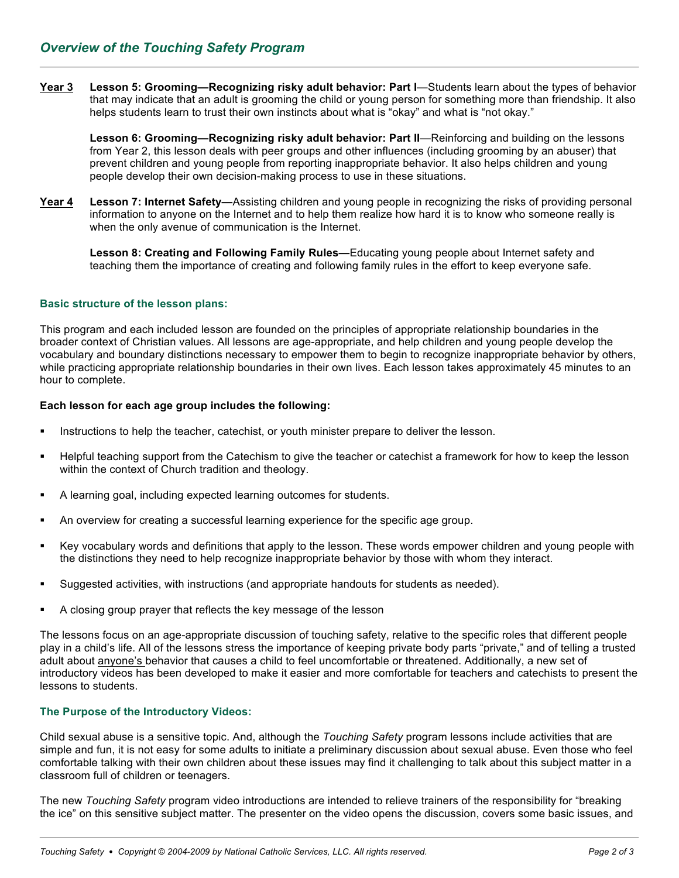**Year 3 Lesson 5: Grooming—Recognizing risky adult behavior: Part I**—Students learn about the types of behavior that may indicate that an adult is grooming the child or young person for something more than friendship. It also helps students learn to trust their own instincts about what is "okay" and what is "not okay."

**Lesson 6: Grooming—Recognizing risky adult behavior: Part II**—Reinforcing and building on the lessons from Year 2, this lesson deals with peer groups and other influences (including grooming by an abuser) that prevent children and young people from reporting inappropriate behavior. It also helps children and young people develop their own decision-making process to use in these situations.

**Year 4 Lesson 7: Internet Safety—**Assisting children and young people in recognizing the risks of providing personal information to anyone on the Internet and to help them realize how hard it is to know who someone really is when the only avenue of communication is the Internet.

**Lesson 8: Creating and Following Family Rules—**Educating young people about Internet safety and teaching them the importance of creating and following family rules in the effort to keep everyone safe.

## **Basic structure of the lesson plans:**

This program and each included lesson are founded on the principles of appropriate relationship boundaries in the broader context of Christian values. All lessons are age-appropriate, and help children and young people develop the vocabulary and boundary distinctions necessary to empower them to begin to recognize inappropriate behavior by others, while practicing appropriate relationship boundaries in their own lives. Each lesson takes approximately 45 minutes to an hour to complete.

## **Each lesson for each age group includes the following:**

- Instructions to help the teacher, catechist, or youth minister prepare to deliver the lesson.
- ! Helpful teaching support from the Catechism to give the teacher or catechist a framework for how to keep the lesson within the context of Church tradition and theology.
- A learning goal, including expected learning outcomes for students.
- An overview for creating a successful learning experience for the specific age group.
- ! Key vocabulary words and definitions that apply to the lesson. These words empower children and young people with the distinctions they need to help recognize inappropriate behavior by those with whom they interact.
- Suggested activities, with instructions (and appropriate handouts for students as needed).
- A closing group prayer that reflects the key message of the lesson

The lessons focus on an age-appropriate discussion of touching safety, relative to the specific roles that different people play in a child's life. All of the lessons stress the importance of keeping private body parts "private," and of telling a trusted adult about anyone's behavior that causes a child to feel uncomfortable or threatened. Additionally, a new set of introductory videos has been developed to make it easier and more comfortable for teachers and catechists to present the lessons to students.

## **The Purpose of the Introductory Videos:**

Child sexual abuse is a sensitive topic. And, although the *Touching Safety* program lessons include activities that are simple and fun, it is not easy for some adults to initiate a preliminary discussion about sexual abuse. Even those who feel comfortable talking with their own children about these issues may find it challenging to talk about this subject matter in a classroom full of children or teenagers.

The new *Touching Safety* program video introductions are intended to relieve trainers of the responsibility for "breaking the ice" on this sensitive subject matter. The presenter on the video opens the discussion, covers some basic issues, and